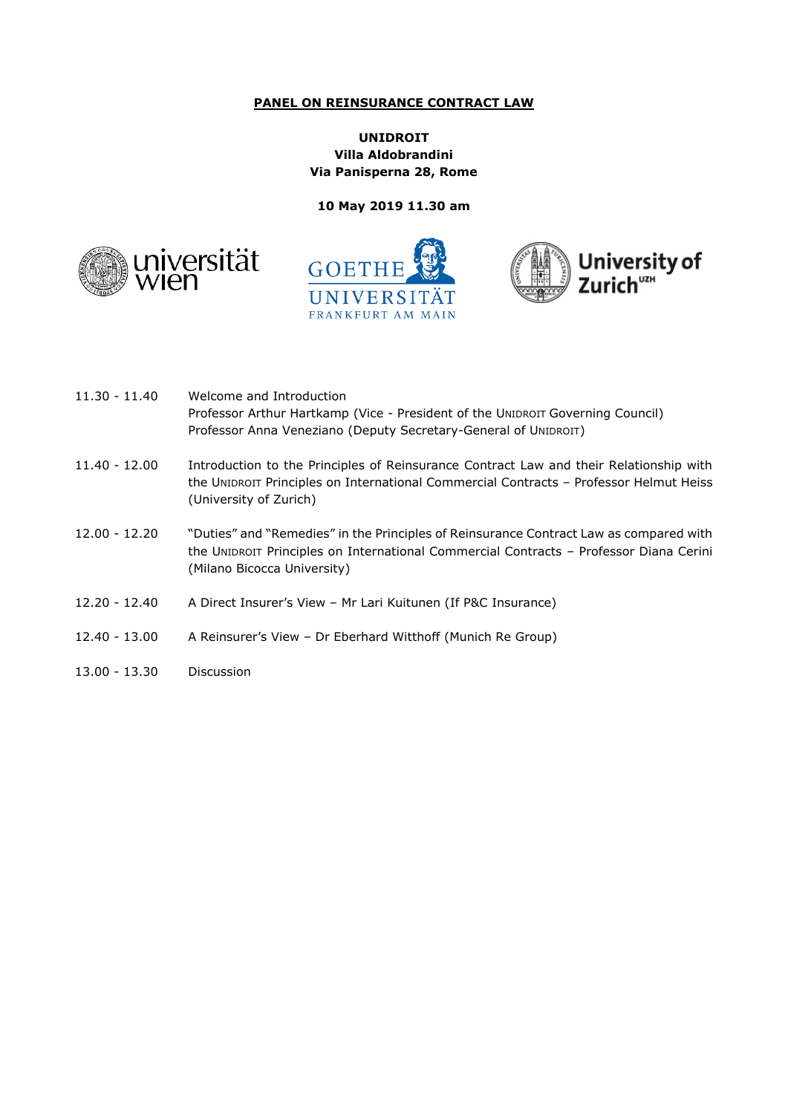## **PANEL ON REINSURANCE CONTRACT LAW**

## **UNIDROIT Villa Aldobrandini Via Panisperna 28, Rome**

## **10 May 2019 11.30 am**







- 11.30 11.40 Welcome and Introduction Professor Arthur Hartkamp (Vice - President of the UNIDROIT Governing Council) Professor Anna Veneziano (Deputy Secretary-General of UNIDROIT)
- 11.40 12.00 Introduction to the Principles of Reinsurance Contract Law and their Relationship with the UNIDROIT Principles on International Commercial Contracts – Professor Helmut Heiss (University of Zurich)
- 12.00 12.20 "Duties" and "Remedies" in the Principles of Reinsurance Contract Law as compared with the UNIDROIT Principles on International Commercial Contracts – Professor Diana Cerini (Milano Bicocca University)
- 12.20 12.40 A Direct Insurer's View Mr Lari Kuitunen (If P&C Insurance)
- 12.40 13.00 A Reinsurer's View Dr Eberhard Witthoff (Munich Re Group)
- 13.00 13.30 Discussion